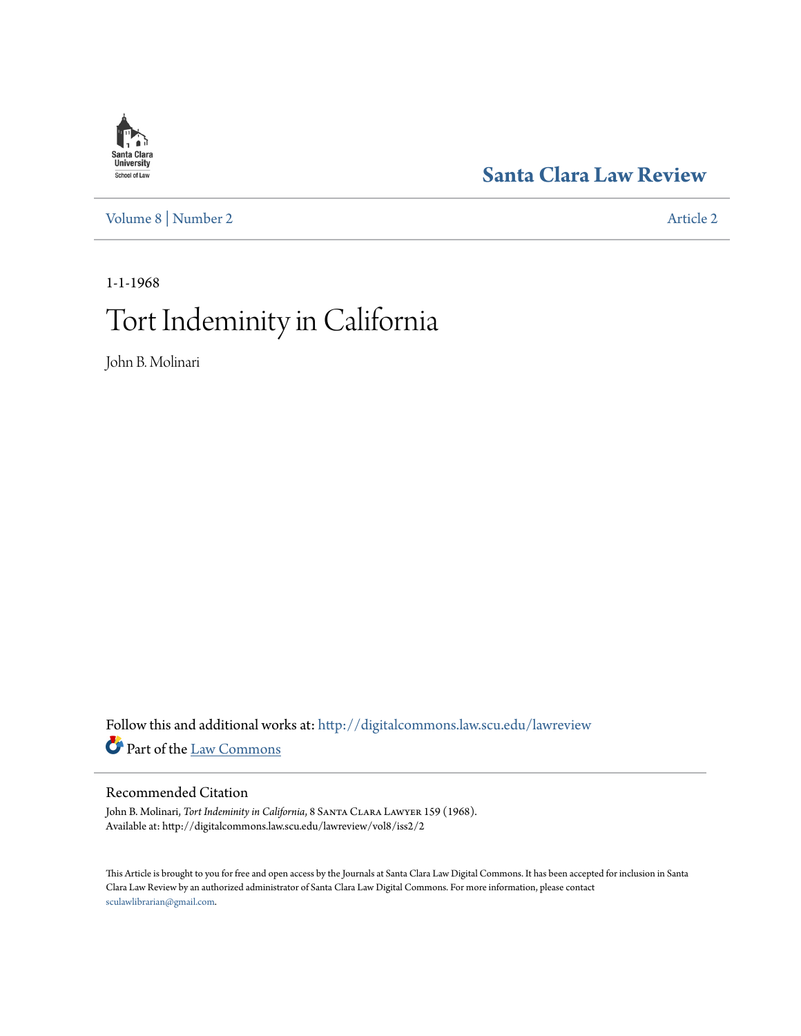# **Santa Clara<br>University** School of Law

[Volume 8](http://digitalcommons.law.scu.edu/lawreview/vol8?utm_source=digitalcommons.law.scu.edu%2Flawreview%2Fvol8%2Fiss2%2F2&utm_medium=PDF&utm_campaign=PDFCoverPages) | [Number 2](http://digitalcommons.law.scu.edu/lawreview/vol8/iss2?utm_source=digitalcommons.law.scu.edu%2Flawreview%2Fvol8%2Fiss2%2F2&utm_medium=PDF&utm_campaign=PDFCoverPages) [Article 2](http://digitalcommons.law.scu.edu/lawreview/vol8/iss2/2?utm_source=digitalcommons.law.scu.edu%2Flawreview%2Fvol8%2Fiss2%2F2&utm_medium=PDF&utm_campaign=PDFCoverPages)

## **[Santa Clara Law Review](http://digitalcommons.law.scu.edu/lawreview?utm_source=digitalcommons.law.scu.edu%2Flawreview%2Fvol8%2Fiss2%2F2&utm_medium=PDF&utm_campaign=PDFCoverPages)**

## 1-1-1968 Tort Indeminity in California

John B. Molinari

Follow this and additional works at: [http://digitalcommons.law.scu.edu/lawreview](http://digitalcommons.law.scu.edu/lawreview?utm_source=digitalcommons.law.scu.edu%2Flawreview%2Fvol8%2Fiss2%2F2&utm_medium=PDF&utm_campaign=PDFCoverPages) Part of the [Law Commons](http://network.bepress.com/hgg/discipline/578?utm_source=digitalcommons.law.scu.edu%2Flawreview%2Fvol8%2Fiss2%2F2&utm_medium=PDF&utm_campaign=PDFCoverPages)

#### Recommended Citation

John B. Molinari, *Tort Indeminity in California*, 8 Santa Clara Lawyer 159 (1968). Available at: http://digitalcommons.law.scu.edu/lawreview/vol8/iss2/2

This Article is brought to you for free and open access by the Journals at Santa Clara Law Digital Commons. It has been accepted for inclusion in Santa Clara Law Review by an authorized administrator of Santa Clara Law Digital Commons. For more information, please contact [sculawlibrarian@gmail.com](mailto:sculawlibrarian@gmail.com).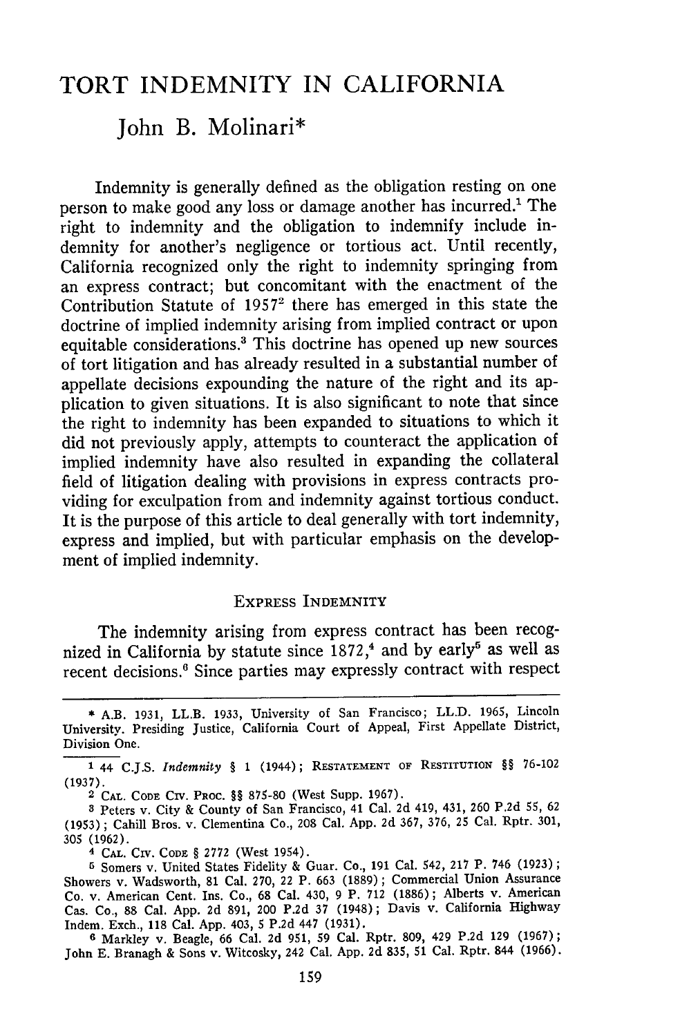### TORT INDEMNITY IN CALIFORNIA

### John B. Molinari\*

Indemnity is generally defined as the obligation resting on one person to make good any loss or damage another has incurred.' The right to indemnity and the obligation to indemnify include indemnity for another's negligence or tortious act. Until recently, California recognized only the right to indemnity springing from an express contract; but concomitant with the enactment of the Contribution Statute of 1957<sup>2</sup> there has emerged in this state the doctrine of implied indemnity arising from implied contract or upon equitable considerations.' This doctrine has opened up new sources of tort litigation and has already resulted in a substantial number of appellate decisions expounding the nature of the right and its application to given situations. It is also significant to note that since the right to indemnity has been expanded to situations to which it did not previously apply, attempts to counteract the application of implied indemnity have also resulted in expanding the collateral field of litigation dealing with provisions in express contracts providing for exculpation from and indemnity against tortious conduct. It is the purpose of this article to deal generally with tort indemnity, express and implied, but with particular emphasis on the development of implied indemnity.

#### ExPREss INDEMNITY

The indemnity arising from express contract has been recognized in California by statute since 1872,<sup>4</sup> and by early<sup>5</sup> as well as recent decisions.6 Since parties may expressly contract with respect

**2 CAL.** CODE Civ. PRoc. §§ 875-80 (West Supp. 1967).

a Peters v. City & County of San Francisco, 41 Cal. 2d 419, 431, 260 P.2d 55, 62 (1953) ; Cahill Bros. v. Clementina Co., 208 Cal. App. 2d 367, 376, 25 Cal. Rptr. 301, 305 (1962).

4 CAL. **Civ.** CODE § 2772 (West 1954).

**5** Somers v. United States Fidelity & Guar. Co., 191 Cal. 542, 217 P. 746 (1923) Showers v. Wadsworth, **81** Cal. 270, 22 P. 663 (1889) ; Commercial Union Assurance Co. v. American Cent. Ins. Co., 68 Cal. 430, 9 P. 712 (1886); Alberts v. American Cas. Co., 88 Cal. App. 2d 891, 200 P.2d 37 (1948); Davis v. California Highway Indem. Exch., 118 Cal. App. 403, 5 P.2d 447 (1931).

**<sup>6</sup>**Markley v. Beagle, 66 Cal. 2d 951, 59 Cal. Rptr. 809, 429 P.2d 129 (1967); John E. Branagh & Sons v. Witcosky, 242 Cal. App. 2d 835, 51 Cal. Rptr. 844 (1966).

<sup>\*</sup> A.B. 1931, LL.B. 1933, University of San Francisco; LL.D. 1965, Lincoln University. Presiding Justice, California Court of Appeal, First Appellate District, Division One.

**<sup>1</sup>**44 C.J.S. *Indemnity* § 1 (1944); **RESTATEMENT** OF RESTITUTION §§ 76-102 (1937).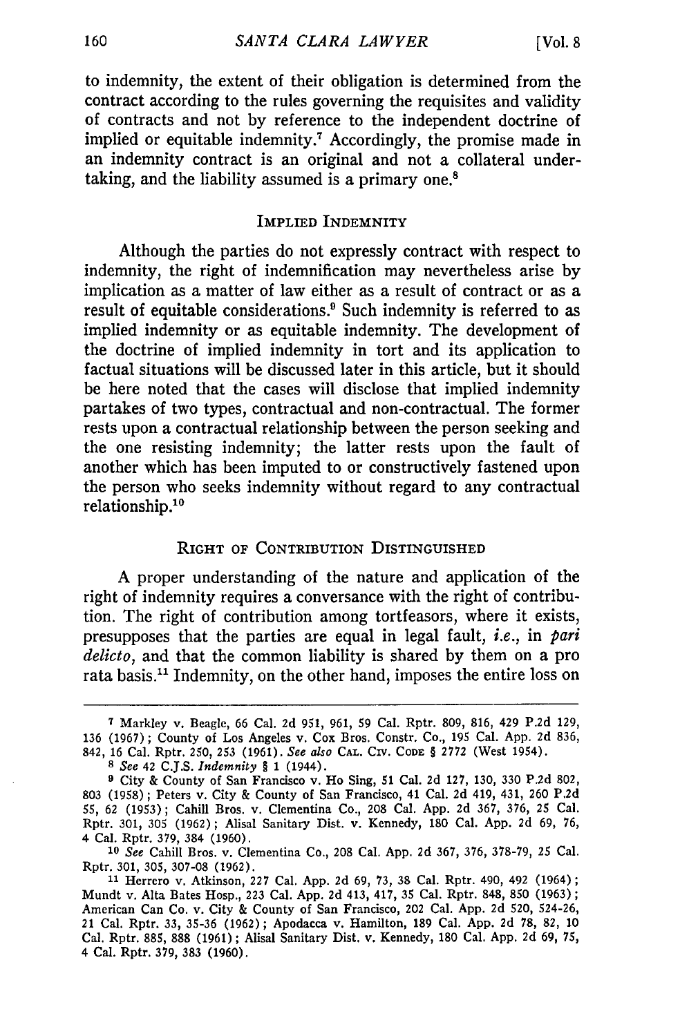to indemnity, the extent of their obligation is determined from the contract according to the rules governing the requisites and validity of contracts and not by reference to the independent doctrine of implied or equitable indemnity.<sup>7</sup> Accordingly, the promise made in an indemnity contract is an original and not a collateral undertaking, and the liability assumed is a primary one.<sup>8</sup>

#### IMPLIED INDEMNITY

Although the parties do not expressly contract with respect to indemnity, the right of indemnification may nevertheless arise by implication as a matter of law either as a result of contract or as a result of equitable considerations.<sup>9</sup> Such indemnity is referred to as implied indemnity or as equitable indemnity. The development of the doctrine of implied indemnity in tort and its application to factual situations will be discussed later in this article, but it should be here noted that the cases will disclose that implied indemnity partakes of two types, contractual and non-contractual. The former rests upon a contractual relationship between the person seeking and the one resisting indemnity; the latter rests upon the fault of another which has been imputed to or constructively fastened upon the person who seeks indemnity without regard to any contractual relationship.<sup>10</sup>

#### RIGHT OF CONTRIBUTION DISTINGUISHED

A proper understanding of the nature and application of the right of indemnity requires a conversance with the right of contribution. The right of contribution among tortfeasors, where it exists, presupposes that the parties are equal in legal fault, *i.e.,* in *pari delicto,* and that the common liability is shared by them on a pro rata basis." Indemnity, on the other hand, imposes the entire loss on

*10 See* Cahill Bros. v. Clementina Co., 208 Cal. App. **2d** 367, 376, 378-79, 25 Cal. Rptr. 301, 305, 307-08 (1962).

**<sup>11</sup>**Herrero v. Atkinson, 227 Cal. App. 2d 69, 73, 38 Cal. Rptr. 490, 492 (1964); Mundt v. Alta Bates Hosp., **223** Cal. App. 2d 413, 417, 35 Cal. Rptr. **848,** 850 (1963) **;** American Can Co. v. City & County of San Francisco, 202 Cal. App. 2d 520, 524-26, 21 Cal. Rptr. 33, 35-36 (1962); Apodacca v. Hamilton, 189 Cal. App. **2d 78,** 82, 10 Cal. Rptr. 885, 888 (1961) ; Alisal Sanitary Dist. v. Kennedy, 180 Cal. App. **2d 69,** 75, 4 Cal. Rptr. 379, 383 (1960).

**<sup>7</sup>** Markley v. Beagle, 66 Cal. 2d 951, 961, 59 Cal. Rptr. 809, 816, 429 P.2d 129, 136 (1967) ; County of Los Angeles v. Cox Bros. Constr. Co., 195 Cal. App. 2d 836, 842, **16** Cal. Rptr. 250, **253 (1961).** *See also* **CAL.** CIV. **CODE** § **2772** (West 1954).

*<sup>8</sup> See* 42 C.J.S. *Indemnity §* 1 (1944).

**<sup>9</sup>** City & County of San Francisco v. Ho Sing, 51 Cal. 2d **127,** 130, 330 P.2d 802, 803 (1958) ; Peters v. City & County of San Francisco, 41 Cal. 2d 419, 431, 260 P.2d **55,** 62 (1953); Cahill Bros. v. Clementina Co., 208 Cal. App. **2d** 367, 376, **25** Cal. Rptr. 301, 305 (1962) ; Alisal Sanitary Dist. v. Kennedy, 180 Cal. App. 2d **69,** 76, 4 Cal. Rptr. 379, 384 (1960).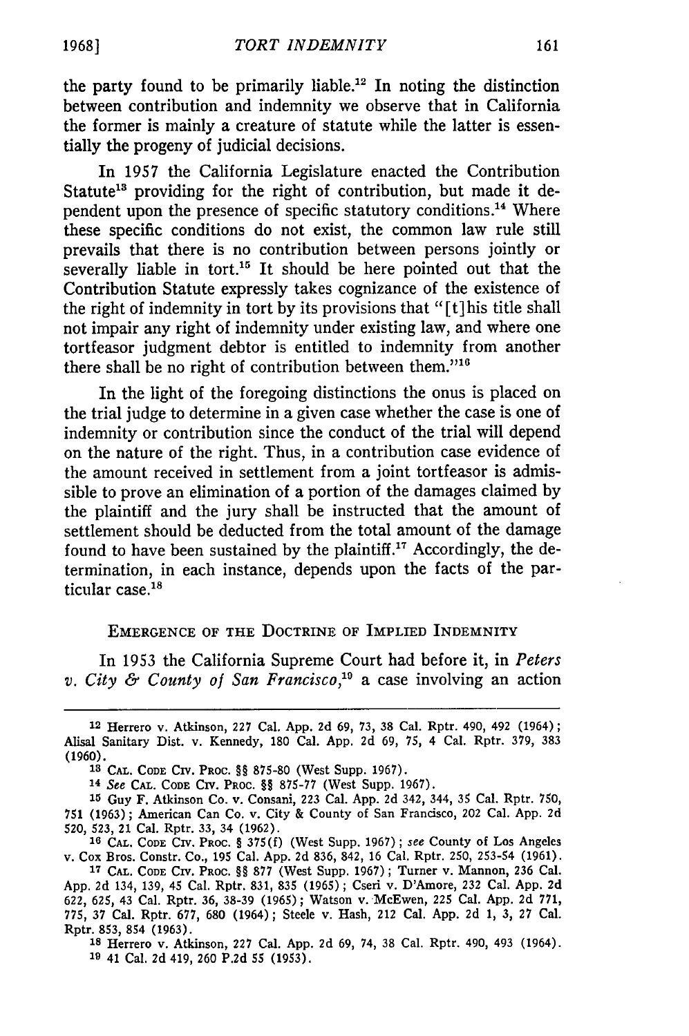the party found to be primarily liable.<sup>12</sup> In noting the distinction between contribution and indemnity we observe that in California the former is mainly a creature of statute while the latter is essentially the progeny of judicial decisions.

In 1957 the California Legislature enacted the Contribution Statute<sup>13</sup> providing for the right of contribution, but made it dependent upon the presence of specific statutory conditions.<sup>14</sup> Where these specific conditions do not exist, the common law rule still prevails that there is no contribution between persons jointly or severally liable in tort.<sup>15</sup> It should be here pointed out that the Contribution Statute expressly takes cognizance of the existence of the right of indemnity in tort by its provisions that "[t] his title shall not impair any right of indemnity under existing law, and where one tortfeasor judgment debtor is entitled to indemnity from another there shall be no right of contribution between them."<sup>16</sup>

In the light of the foregoing distinctions the onus is placed on the trial judge to determine in a given case whether the case is one of indemnity or contribution since the conduct of the trial will depend on the nature of the right. Thus, in a contribution case evidence of the amount received in settlement from a joint tortfeasor is admissible to prove an elimination of a portion of the damages claimed by the plaintiff and the jury shall be instructed that the amount of settlement should be deducted from the total amount of the damage found to have been sustained by the plaintiff.<sup>17</sup> Accordingly, the determination, in each instance, depends upon the facts of the particular case. $18$ 

#### EMERGENCE OF THE DOCTRINE OF IMPLIED INDEMNITY

In 1953 the California Supreme Court had before it, in *Peters v. City & County of San Francisco*,<sup>10</sup> a case involving an action

**<sup>18</sup>**Herrero v. Atkinson, 227 Cal. App. 2d 69, 74, 38 Cal. Rptr. 490, 493 (1964). <sup>19</sup>41 Cal. 2d 419, 260 P.2d 55 (1953).

<sup>12</sup> Herrero v. Atkinson, **227** Cal. App. 2d 69, 73, 38 Cal. Rptr. 490, 492 (1964); Alisal Sanitary Dist. v. Kennedy, 180 Cal. App. 2d 69, 75, 4 Cal. Rptr. 379, 383 (1960).

**<sup>13</sup> CAL. CODE** CIv. **PROC.** §§ 875-80 (West Supp. 1967).

<sup>14</sup>See **CAL. CODE** CIV. PROC. **§§** 875-77 (West Supp. 1967).

**<sup>15</sup>**Guy F. Atkinson Co. v. Consani, 223 Cal. App. 2d 342, 344, 35 Cal. Rptr. 750, 751 (1963); American Can Co. v. City & County of San Francisco, 202 Cal. App. 2d 520, 523, 21 Cal. Rptr. 33, 34 (1962).

**<sup>16</sup>** CAL. **CODE** CIV. PROC. § 375(f) (West Supp. 1967) ; see County of Los Angeles v. Cox Bros. Constr. Co., 195 Cal. App. 2d 836, 842, 16 Cal. Rptr. 250, 253-54 (1961).

**<sup>17</sup> CAL. CODE** CIV. PRoc. §§ **877** (West Supp. 1967); Turner v. Mannon, **236** Cal. App. 2d 134, 139, 45 Cal. Rptr. 831, 835 (1965) ; Cseri v. D'Amore, 232 Cal. App. 2d 622, 625, 43 Cal. Rptr. **36,** 38-39 (1965); Watson v. McEwen, 225 Cal. App. 2d 771, 775, **37** Cal. Rptr. 677, 680 (1964); Steele v. Hash, 212 Cal. App. 2d 1, 3, 27 Cal. Rptr. 853, 854 (1963).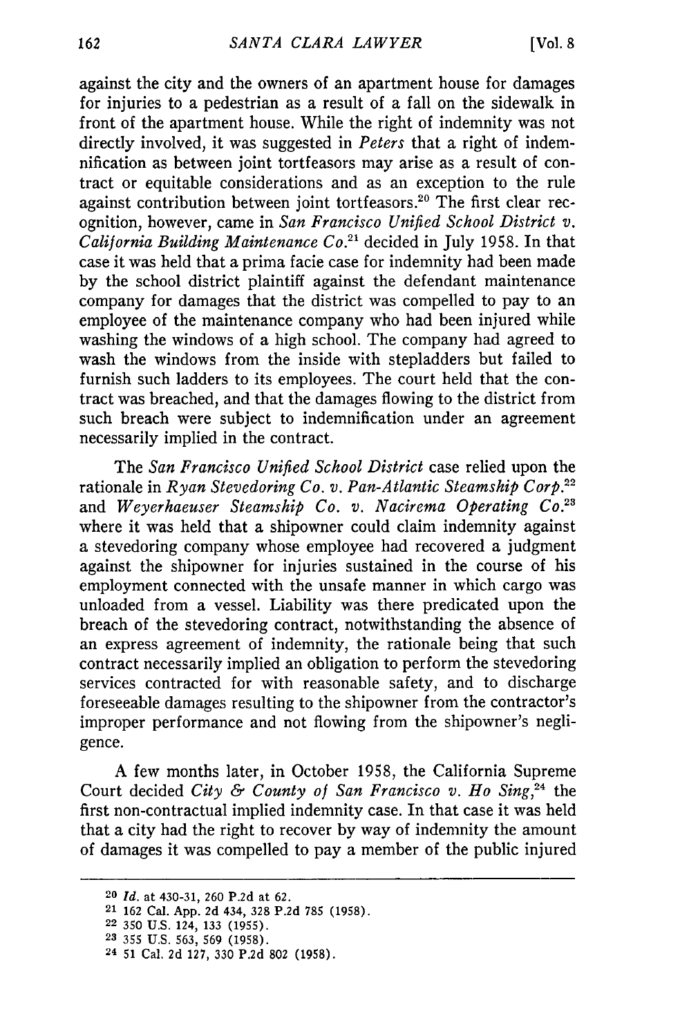against the city and the owners of an apartment house for damages for injuries to a pedestrian as a result of a fall on the sidewalk in front of the apartment house. While the right of indemnity was not directly involved, it was suggested in *Peters* that a right of indemnification as between joint tortfeasors may arise as a result of contract or equitable considerations and as an exception to the rule against contribution between joint tortfeasors.<sup>20</sup> The first clear recognition, however, came in *San Francisco Unified School District v. California Building Maintenance Co.2* decided in July 1958. In that case it was held that a prima facie case for indemnity had been made by the school district plaintiff against the defendant maintenance company for damages that the district was compelled to pay to an employee of the maintenance company who had been injured while washing the windows of a high school. The company had agreed to wash the windows from the inside with stepladders but failed to furnish such ladders to its employees. The court held that the contract was breached, and that the damages flowing to the district from such breach were subject to indemnification under an agreement necessarily implied in the contract.

The *San Francisco Unified School District* case relied upon the rationale in *Ryan Stevedoring Co. v. Pan-Atlantic Steamship Corp.22* and *Weyerhaeuser Steamship Co. v. Nacirema Operating Co.*<sup>23</sup> where it was held that a shipowner could claim indemnity against a stevedoring company whose employee had recovered a judgment against the shipowner for injuries sustained in the course of his employment connected with the unsafe manner in which cargo was unloaded from a vessel. Liability was there predicated upon the breach of the stevedoring contract, notwithstanding the absence of an express agreement of indemnity, the rationale being that such contract necessarily implied an obligation to perform the stevedoring services contracted for with reasonable safety, and to discharge foreseeable damages resulting to the shipowner from the contractor's improper performance and not flowing from the shipowner's negligence.

A few months later, in October 1958, the California Supreme Court decided *City & County of San Francisco v. Ho Sing*<sup>24</sup> the first non-contractual implied indemnity case. In that case it was held that a city had the right to recover by way of indemnity the amount of damages it was compelled to pay a member of the public injured

**<sup>20</sup>***Id.* at 430-31, 260 **P.2d** at 62.

<sup>21</sup> 162 Cal. App. 2d 434, 328 **P.2d 785** (1958).

**<sup>22</sup>** 350 U.S. 124, 133 **(1955).**

**<sup>23</sup>**355 U.S. 563, **569** (1958).

<sup>24</sup> 51 Cal. **2d 127,** 330 P.2d 802 (1958).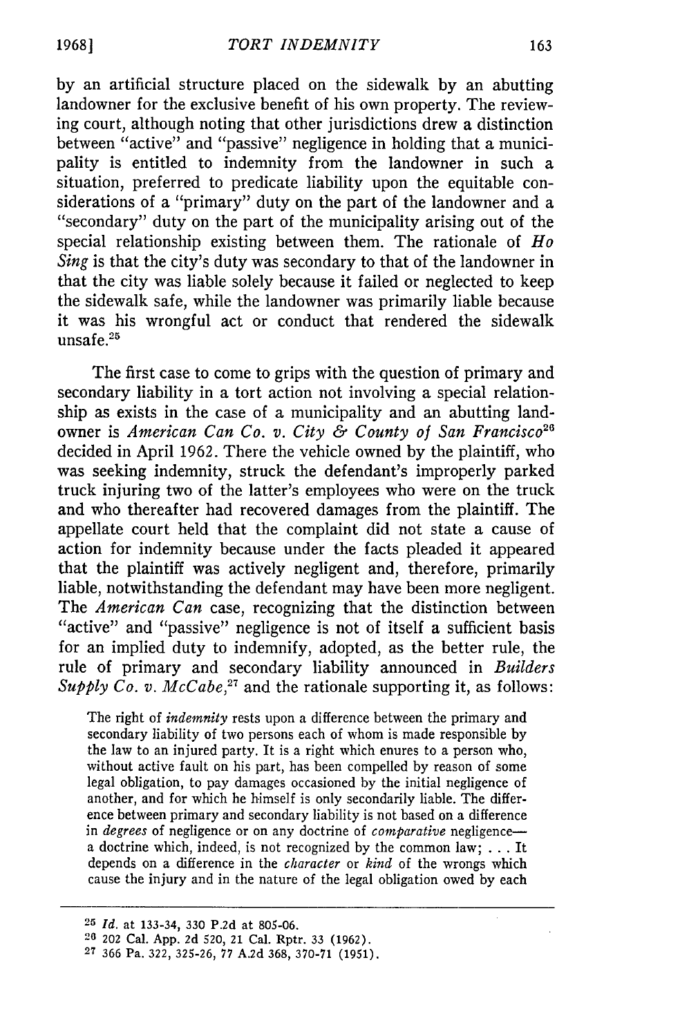by an artificial structure placed on the sidewalk by an abutting landowner for the exclusive benefit of his own property. The reviewing court, although noting that other jurisdictions drew a distinction between "active" and "passive" negligence in holding that a municipality is entitled to indemnity from the landowner in such a situation, preferred to predicate liability upon the equitable considerations of a "primary" duty on the part of the landowner and a "secondary" duty on the part of the municipality arising out of the special relationship existing between them. The rationale of *Ho Sing* is that the city's duty was secondary to that of the landowner in that the city was liable solely because it failed or neglected to keep the sidewalk safe, while the landowner was primarily liable because it was his wrongful act or conduct that rendered the sidewalk unsafe.25

The first case to come to grips with the question of primary and secondary liability in a tort action not involving a special relationship as exists in the case of a municipality and an abutting landowner is *American Can Co. v. City & County of San Francisco26* decided in April 1962. There the vehicle owned by the plaintiff, who was seeking indemnity, struck the defendant's improperly parked truck injuring two of the latter's employees who were on the truck and who thereafter had recovered damages from the plaintiff. The appellate court held that the complaint did not state a cause of action for indemnity because under the facts pleaded it appeared that the plaintiff was actively negligent and, therefore, primarily liable, notwithstanding the defendant may have been more negligent. The *American Can* case, recognizing that the distinction between "active" and "passive" negligence is not of itself a sufficient basis for an implied duty to indemnify, adopted, as the better rule, the rule of primary and secondary liability announced in *Builders Supply Co. v. McCabe*,<sup>27</sup> and the rationale supporting it, as follows:

The right of *indemnity* rests upon a difference between the primary and secondary liability of two persons each of whom is made responsible by the law to an injured party. It is a right which enures to a person who, without active fault on his part, has been compelled by reason of some legal obligation, to pay damages occasioned by the initial negligence of another, and for which he himself is only secondarily liable. The difference between primary and secondary liability is not based on a difference in *degrees* of negligence or on any doctrine of *comparative* negligencea doctrine which, indeed, is not recognized by the common law; . . . It depends on a difference in the *character* or *kind* of the wrongs which cause the injury and in the nature of the legal obligation owed by each

**<sup>25</sup>***Id.* at 133-34, 330 P.2d at 805-06.

*<sup>20</sup>* 202 Cal. App. 2d 520, 21 Cal. Rptr. 33 (1962).

**<sup>27</sup>** 366 Pa. 322, 325-26, 77 A.2d 368, 370-71 (1951).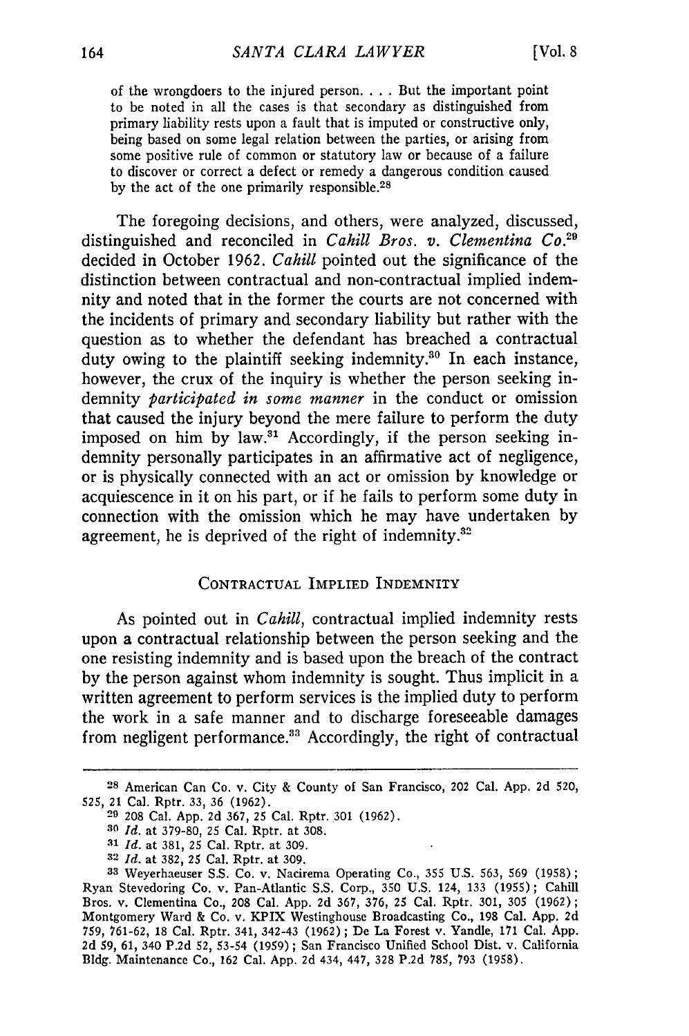of the wrongdoers to the injured person. . **.** . But the important point to be noted in all the cases is that secondary as distinguished from primary liability rests upon a fault that is imputed or constructive only, being based on some legal relation between the parties, or arising from some positive rule of common or statutory law or because of a failure to discover or correct a defect or remedy a dangerous condition caused by the act of the one primarily responsible.<sup>28</sup>

The foregoing decisions, and others, were analyzed, discussed, distinguished and reconciled in *Cahill Bros. v. Clementina Co.29* decided in October 1962. *Cahill* pointed out the significance of the distinction between contractual and non-contractual implied indemnity and noted that in the former the courts are not concerned with the incidents of primary and secondary liability but rather with the question as to whether the defendant has breached a contractual duty owing to the plaintiff seeking indemnity.<sup>30</sup> In each instance, however, the crux of the inquiry is whether the person seeking indemnity *participated in some manner* in the conduct or omission that caused the injury beyond the mere failure to perform the duty imposed on him by law. $31$  Accordingly, if the person seeking indemnity personally participates in an affirmative act of negligence, or is physically connected with an act or omission by knowledge or acquiescence in it on his part, or if he fails to perform some duty in connection with the omission which he may have undertaken by agreement, he is deprived of the right of indemnity. $32$ 

#### **CONTRACTUAL** IMPLIED INDEMNITY

As pointed out in *Cahill,* contractual implied indemnity rests upon a contractual relationship between the person seeking and the one resisting indemnity and is based upon the breach of the contract by the person against whom indemnity is sought. Thus implicit in a written agreement to perform services is the implied duty to perform the work in a safe manner and to discharge foreseeable damages from negligent performance.<sup>33</sup> Accordingly, the right of contractual

**<sup>28</sup>** American Can Co. v. City & County of San Francisco, 202 Cal. App. 2d 520, 525, 21 Cal. Rptr. 33, 36 (1962).

**<sup>29</sup>** 208 Cal. App. 2d 367, 25 Cal. Rptr. 301 (1962).

**<sup>30</sup>***Id.* at 379-80, 25 Cal. Rptr. at 308.

**<sup>31</sup>***Id.* at 381, 25 Cal. Rptr. at 309.

**<sup>32</sup>** *Id.* at 382, 25 Cal. Rptr. at **309.**

**<sup>33</sup>**Weyerhaeuser S.S. Co. v. Nacirema Operating Co., 355 U.S. 563, 569 (1958); Ryan Stevedoring Co. v. Pan-Atlantic S.S. Corp., 350 U.S. 124, 133 (1955); Cahill Bros. v. Clementina Co., 208 Cal. App. 2d 367, 376, 25 Cal. Rptr. 301, 305 (1962); Montgomery Ward & Co. v. KPIX Westinghouse Broadcasting Co., 198 Cal. App. 2d 759, 761-62, 18 Cal. Rptr. 341, 342-43 (1962) ; De La Forest v. Yandle, 171 Cal. App. 2d 59, 61, 340 P.2d 52, 53-54 (1959) ; San Francisco Unified School Dist. v. California **Bldg.** Maintenance Co., **162** Cal. App. 2d 434, 447, 328 P.2d 785, 793 (1958).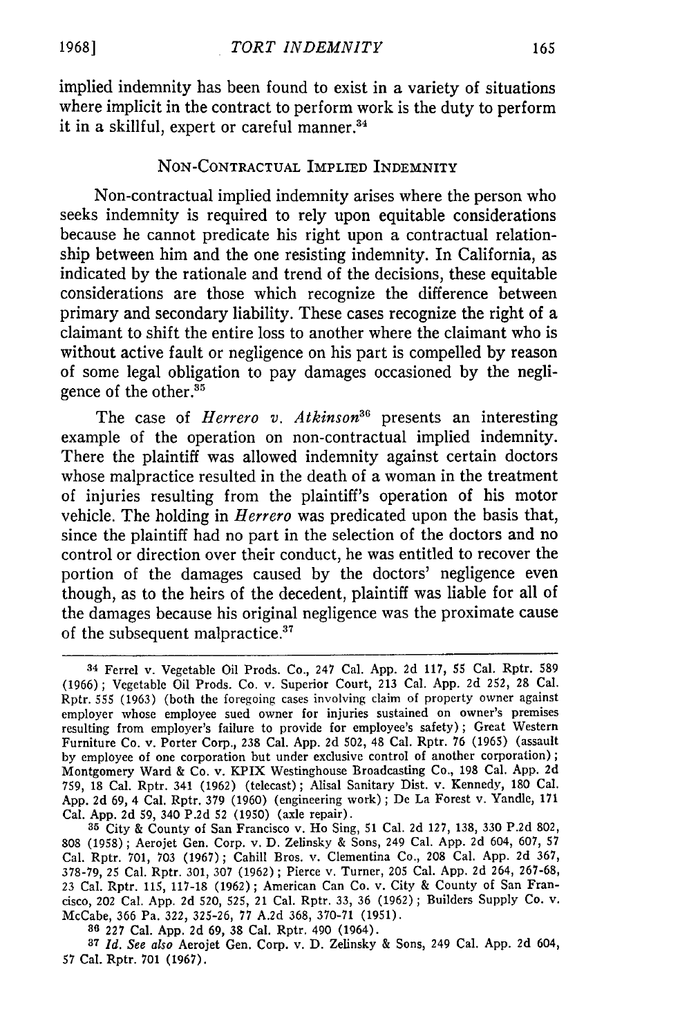implied indemnity has been found to exist in a variety of situations where implicit in the contract to perform work is the duty to perform it in a skillful, expert or careful manner.<sup>34</sup>

#### NON-CONTRACTUAL IMPLIED INDEMNITY

Non-contractual implied indemnity arises where the person who seeks indemnity is required to rely upon equitable considerations because he cannot predicate his right upon a contractual relationship between him and the one resisting indemnity. In California, as indicated by the rationale and trend of the decisions, these equitable considerations are those which recognize the difference between primary and secondary liability. These cases recognize the right of a claimant to shift the entire loss to another where the claimant who is without active fault or negligence on his part is compelled by reason of some legal obligation to pay damages occasioned by the negligence of the other.<sup>35</sup>

The case of *Herrero v. Atkinson36* presents an interesting example of the operation on non-contractual implied indemnity. There the plaintiff was allowed indemnity against certain doctors whose malpractice resulted in the death of a woman in the treatment of injuries resulting from the plaintiff's operation of his motor vehicle. The holding in *Herrero* was predicated upon the basis that, since the plaintiff had no part in the selection of the doctors and no control or direction over their conduct, he was entitled to recover the portion of the damages caused by the doctors' negligence even though, as to the heirs of the decedent, plaintiff was liable for all of the damages because his original negligence was the proximate cause of the subsequent malpractice.<sup>37</sup>

**35** City & County of San Francisco v. Ho Sing, 51 Cal. 2d 127, 138, 330 **P.2d 802,** 808 (1958) ; Aerojet Gen. Corp. v. D. Zelinsky & Sons, 249 Cal. App. 2d 604, 607, 57 Cal. Rptr. 701, 703 (1967) **;** Cahill Bros. v. Clementina Co., 208 Cal. App. 2d 367, 378-79, 25 Cal. Rptr. 301, 307 (1962) **;** Pierce v. Turner, 205 Cal. App. 2d 264, 267-68, 23 Cal. Rptr. 115, 117-18 (1962) ; American Can Co. v. City & County of San Francisco, 202 Cal. App. 2d 520, 525, 21 Cal. Rptr. 33, 36 (1962) ; Builders Supply Co. v. McCabe, 366 Pa. 322, 325-26, 77 A.2d 368, 370-71 (1951).

*86* 227 Cal. App. 2d 69, 38 Cal. Rptr. 490 (1964).

*37 Id. See also* Aerojet Gen. Corp. v. D. Zelinsky & Sons, 249 Cal. App. 2d 604, 57 Cal. Rptr. 701 (1967).

**<sup>34</sup>** Ferrel v. Vegetable Oil Prods. Co., 247 Cal. App. 2d 117, 55 Cal. Rptr. 589 (1966); Vegetable Oil Prods. Co. v. Superior Court, 213 Cal. App. 2d 252, 28 Cal. Rptr. 555 (1963) (both the foregoing cases involving claim of property owner against employer whose employee sued owner for injuries sustained on owner's premises resulting from employer's failure to provide for employee's safety) ; Great Western Furniture Co. v. Porter Corp., 238 Cal. App. 2d 502, 48 Cal. Rptr. 76 (1965) (assault by employee of one corporation but under exclusive control of another corporation) **;** Montgomery Ward & Co. v. KPIX Westinghouse Broadcasting Co., 198 Cal. App. 2d 759, 18 Cal. Rptr. 341 (1962) (telecast) ; Alisal Sanitary Dist. v. Kennedy, 180 Cal. App. 2d 69, 4 Cal. Rptr. 379 (1960) (engineering work); De La Forest v. Yandle, 171 Cal. App. 2d 59, 340 P.2d 52 (1950) (axle repair).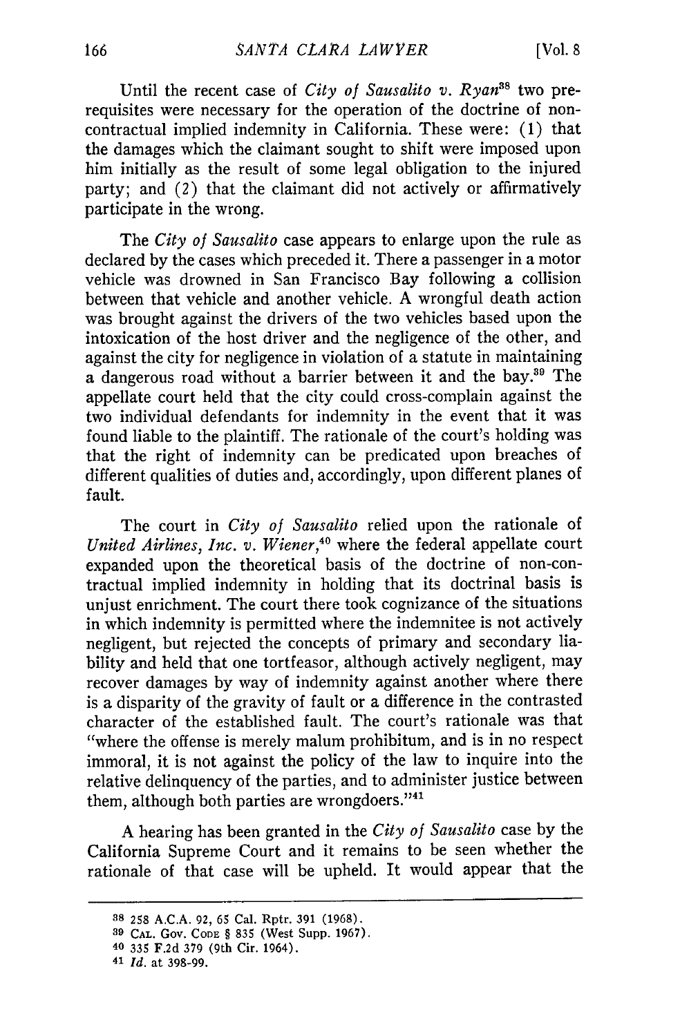Until the recent case of *City of Sausalito v. Ryan8* two prerequisites were necessary for the operation of the doctrine of noncontractual implied indemnity in California. These were: (1) that the damages which the claimant sought to shift were imposed upon him initially as the result of some legal obligation to the injured party; and (2) that the claimant did not actively or affirmatively participate in the wrong.

The *City of Sausalito* case appears to enlarge upon the rule as declared by the cases which preceded it. There a passenger in a motor vehicle was drowned in San Francisco Bay following a collision between that vehicle and another vehicle. A wrongful death action was brought against the drivers of the two vehicles based upon the intoxication of the host driver and the negligence of the other, and against the city for negligence in violation of a statute in maintaining a dangerous road without a barrier between it and the bay.<sup>39</sup> The appellate court held that the city could cross-complain against the two individual defendants for indemnity in the event that it was found liable to the plaintiff. The rationale of the court's holding was that the right of indemnity can be predicated upon breaches of different qualities of duties and, accordingly, upon different planes of fault.

The court in *City of Sausalito* relied upon the rationale of United Airlines, Inc. v. Wiener,<sup>40</sup> where the federal appellate court expanded upon the theoretical basis of the doctrine of non-contractual implied indemnity in holding that its doctrinal basis is unjust enrichment. The court there took cognizance of the situations in which indemnity is permitted where the indemnitee is not actively negligent, but rejected the concepts of primary and secondary liability and held that one tortfeasor, although actively negligent, may recover damages by way of indemnity against another where there is a disparity of the gravity of fault or a difference in the contrasted character of the established fault. The court's rationale was that "where the offense is merely malum prohibitum, and is in no respect immoral, it is not against the policy of the law to inquire into the relative delinquency of the parties, and to administer justice between them, although both parties are wrongdoers."<sup>41</sup>

A hearing has been granted in the *City of Sausalito* case by the California Supreme Court and it remains to be seen whether the rationale of that case will be upheld. It would appear that the

**<sup>38</sup>258** A.C.A. **92,** 65 Cal. Rptr. 391 (1968).

**<sup>39</sup>**CAL. Gov. **CODE** § 835 (West Supp. 1967).

**<sup>40</sup>** 335 F.2d 379 (9th Cir. 1964).

<sup>41</sup>*Id.* at 398-99.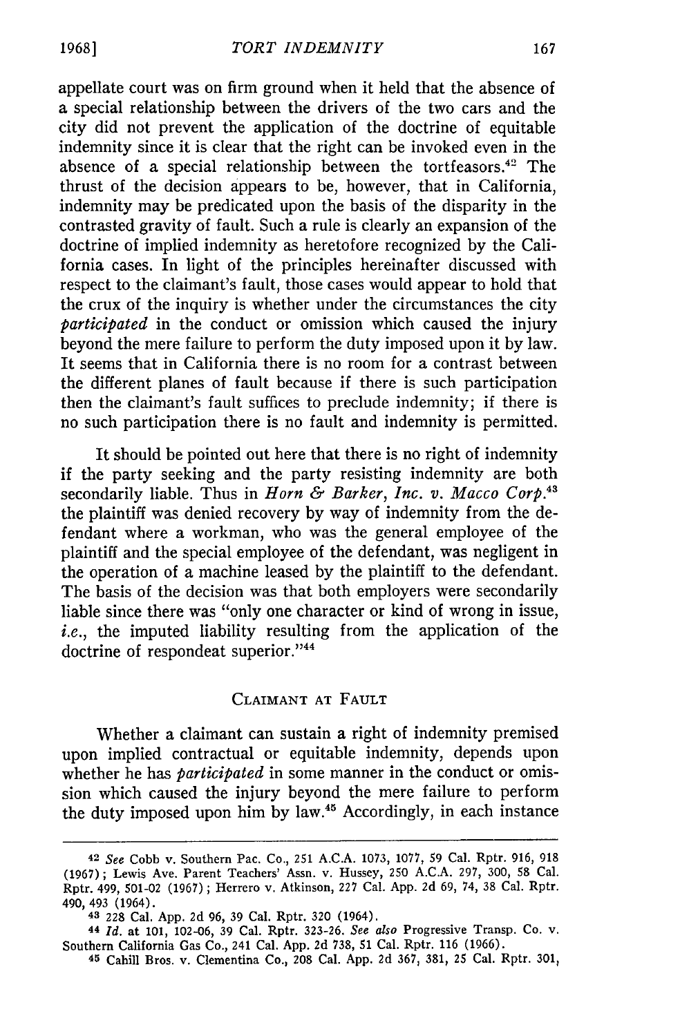appellate court was on firm ground when it held that the absence of a special relationship between the drivers of the two cars and the city did not prevent the application of the doctrine of equitable indemnity since it is clear that the right can be invoked even in the absence of a special relationship between the tortfeasors.42 The thrust of the decision appears to be, however, that in California, indemnity may be predicated upon the basis of the disparity in the contrasted gravity of fault. Such a rule is clearly an expansion of the doctrine of implied indemnity as heretofore recognized by the California cases. In light of the principles hereinafter discussed with respect to the claimant's fault, those cases would appear to hold that the crux of the inquiry is whether under the circumstances the city *participated* in the conduct or omission which caused the injury beyond the mere failure to perform the duty imposed upon it by law. It seems that in California there is no room for a contrast between the different planes of fault because if there is such participation then the claimant's fault suffices to preclude indemnity; if there is no such participation there is no fault and indemnity is permitted.

It should be pointed out here that there is no right of indemnity if the party seeking and the party resisting indemnity are both secondarily liable. Thus in *Horn & Barker*, *Inc. v. Macco Corp.*<sup>43</sup> the plaintiff was denied recovery by way of indemnity from the defendant where a workman, who was the general employee of the plaintiff and the special employee of the defendant, was negligent in the operation of a machine leased by the plaintiff to the defendant. The basis of the decision was that both employers were secondarily liable since there was "only one character or kind of wrong in issue, *i.e.,* the imputed liability resulting from the application of the doctrine of respondeat superior."<sup>44</sup>

#### CLAIMANT **AT FAULT**

Whether a claimant can sustain a right of indemnity premised upon implied contractual or equitable indemnity, depends upon whether he has *participated* in some manner in the conduct or omission which caused the injury beyond the mere failure to perform the duty imposed upon him by law.45 Accordingly, in each instance

**<sup>42</sup>** *See* Cobb v. Southern Pac. Co., 251 A.C.A. 1073, 1077, 59 Cal. Rptr. 916, 918 (1967); Lewis Ave. Parent Teachers' Assn. v. Hussey, **250 A.C.A.** 297, 300, 58 Cal. Rptr. 499, 501-02 (1967) ; Herrero v. Atkinson, **227** Cal. App. 2d 69, 74, 38 Cal. Rptr. 490, 493 (1964).

**<sup>43</sup>** 228 Cal. App. 2d 96, 39 Cal. Rptr. 320 (1964).

**<sup>44</sup>***Id.* at 101, 102-06, 39 Cal. Rptr. 323-26. *See also* Progressive Transp. Co. v. Southern California Gas Co., 241 Cal. App. 2d 738, 51 Cal. Rptr. 116 (1966).

**<sup>45</sup>** Cahill Bros. v. Clementina Co., 208 Cal. App. 2d 367, **381,** 25 Cal. Rptr. 301,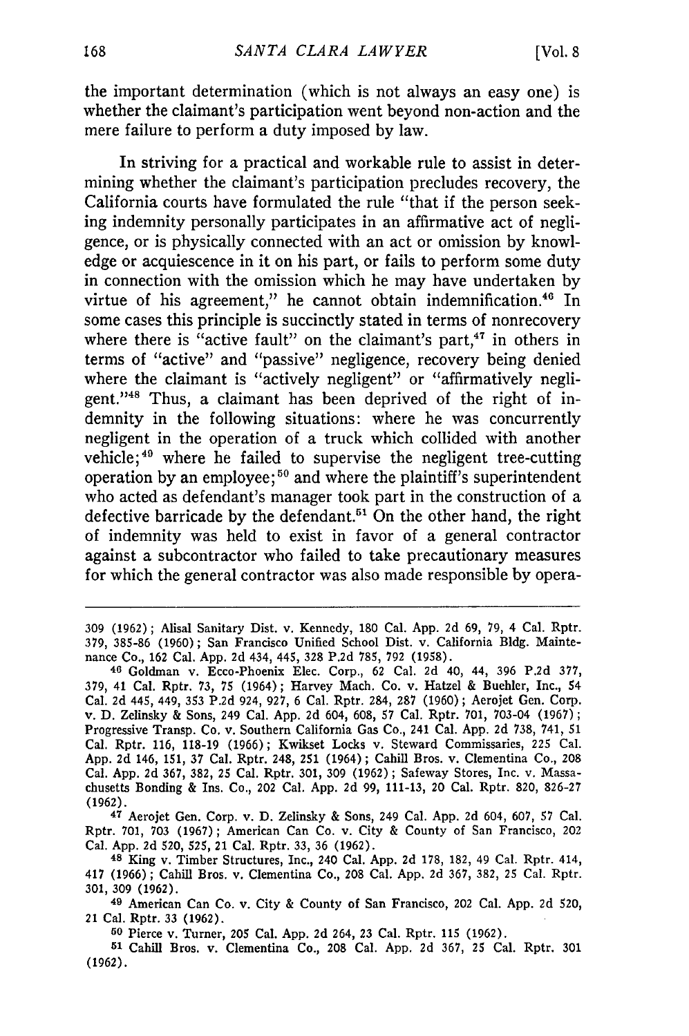the important determination (which is not always an easy one) is whether the claimant's participation went beyond non-action and the mere failure to perform a duty imposed **by** law.

In striving for a practical and workable rule to assist in determining whether the claimant's participation precludes recovery, the California courts have formulated the rule "that if the person seeking indemnity personally participates in an affirmative act of negligence, or is physically connected with an act or omission **by** knowledge or acquiescence in it on his part, or fails to perform some duty in connection with the omission which he may have undertaken **by** virtue of his agreement," he cannot obtain indemnification.<sup>46</sup> In some cases this principle is succinctly stated in terms of nonrecovery where there is "active fault" on the claimant's part, $47$  in others in terms of "active" and "passive" negligence, recovery being denied where the claimant is "actively negligent" or "affirmatively negligent."<sup>48</sup> Thus, a claimant has been deprived of the right of indemnity in the following situations: where he was concurrently negligent in the operation of a truck which collided with another vehicle;<sup>49</sup> where he failed to supervise the negligent tree-cutting operation by an employee;<sup>50</sup> and where the plaintiff's superintendent who acted as defendant's manager took part in the construction of a defective barricade by the defendant.<sup>51</sup> On the other hand, the right of indemnity was held to exist in favor of a general contractor against a subcontractor who failed to take precautionary measures for which the general contractor was also made responsible **by** opera-

**50** Pierce v. Turner, 205 Cal. **App. 2d** 264, **23** Cal. Rptr. **115 (1962).**

**<sup>309 (1962);</sup>** Alisal Sanitary Dist. v. Kennedy, **180** Cal. **App. 2d 69, 79,** 4 Cal. Rptr. **379, 385-86 (1960);** San Francisco Unified School Dist. v. California **Bldg.** Maintenance Co., **162** Cal. **App. 2d** 434, 445, **328 P.2d 785, 792 (1958).**

**<sup>40</sup>**Goldman v. Ecco-Phoenix Elec. Corp., **62** Cal. **2d** 40, 44, **396 P.2d 377, 379,** 41 Cal. Rptr. **73, 75** (1964); Harvey Mach. Co. v. Hatzel **&** Buehler, Inc., 54 Cal. **2d** 445, 449, **353 P.2d** 924, **927, 6** Cal. Rptr. 284, **287 (1960) ;** Aerojet Gen. Corp. v. **D.** Zelinsky **&** Sons, 249 Cal. **App. 2d** 604, **608, 57** Cal. Rptr. **701,** 703-04 **(1967) ;** Progressive Transp. Co. v. Southern California Gas Co., 241 Cal. **App. 2d 738,** 741, **51** Cal. Rptr. **116, 118-19 (1966);** Kwikset Locks v. Steward Commissaries, **225** Cal. **App. 2d** 146, **151, 37** Cal. Rptr. 248, **251** (1964) **;** Cahill Bros. v. Clementina Co., **208** Cal. **App. 2d 367, 382, 25** Cal. Rptr. **301, 309 (1962) ;** Safeway Stores, Inc. v. Massachusetts Bonding **&** Ins. Co., 202 Cal. **App. 2d 99, 111-13,** 20 Cal. Rptr. **820, 826-27 (1962).**

**<sup>47</sup>** Aerojet Gen. Corp. v. **D.** Zelinsky **&** Sons, 249 Cal. **App. 2d** 604, **607, 57** Cal. Rptr. **701, 703 (1967);** American Can Co. v. City **&** County of San Francisco, 202 Cal. **App. 2d 520, 525,** 21 Cal. Rptr. **33, 36 (1962).**

**<sup>48</sup>** King v. Timber Structures, Inc., 240 Cal. **App. 2d 178, 182,** 49 Cal. Rptr. 414, 417 **(1966);** Cahill Bros. v. Clementina Co., 208 Cal. **App. 2d 367, 382, 25** Cal. Rptr. **301, 309 (1962).**

**<sup>49</sup>**American Can Co. v. City **&** County of San Francisco, 202 Cal. **App. 2d 520,** 21 Cal. Rptr. **33 (1962).**

**<sup>51</sup>**Cahill Bros. v. Clementina Co., **208** Cal. **App. 2d 367,** 25 Cal. Rptr. **301 (1962).**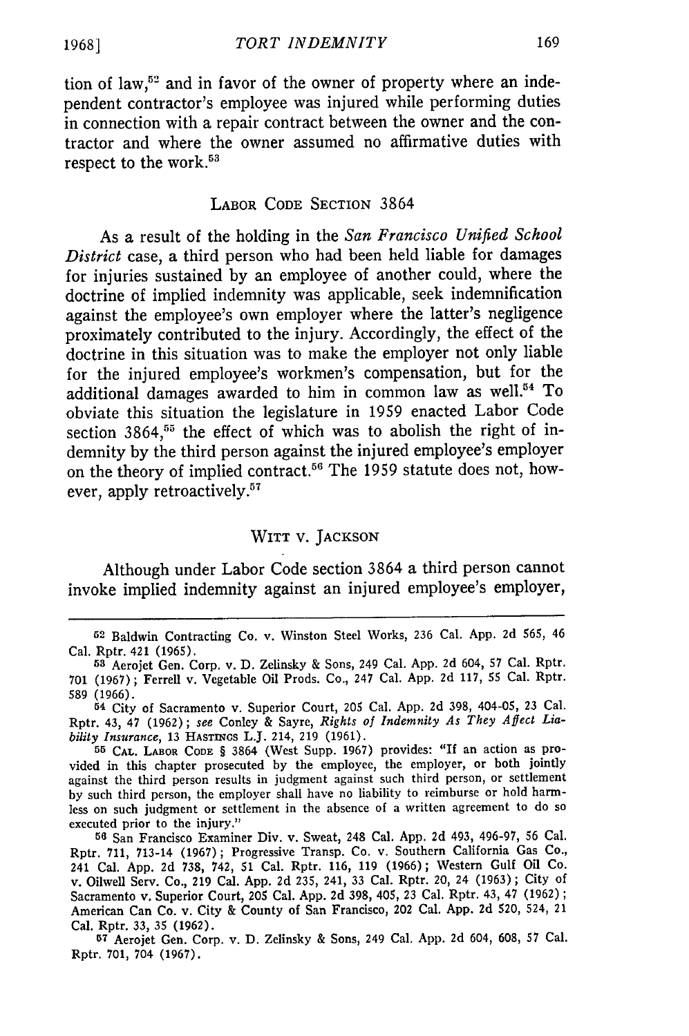tion of law,<sup>52</sup> and in favor of the owner of property where an independent contractor's employee was injured while performing duties in connection with a repair contract between the owner and the contractor and where the owner assumed no affirmative duties with respect to the work.<sup>53</sup>

#### LABOR CODE SECTION 3864

As a result of the holding in the *San Francisco Unified School District* case, a third person who had been held liable for damages for injuries sustained by an employee of another could, where the doctrine of implied indemnity was applicable, seek indemnification against the employee's own employer where the latter's negligence proximately contributed to the injury. Accordingly, the effect of the doctrine in this situation was to make the employer not only liable for the injured employee's workmen's compensation, but for the additional damages awarded to him in common law as well.<sup>54</sup> To obviate this situation the legislature in 1959 enacted Labor Code section  $3864$ ,<sup>55</sup> the effect of which was to abolish the right of indemnity by the third person against the injured employee's employer on the theory of implied contract.<sup>56</sup> The 1959 statute does not, however, apply retroactively.<sup>57</sup>

#### WITT V. JACKSON

Although under Labor Code section 3864 a third person cannot invoke implied indemnity against an injured employee's employer,

<sup>52</sup> Baldwin Contracting Co. v. Winston Steel Works, 236 Cal. App. 2d 565, 46 Cal. Rptr. 421 (1965).

**<sup>53</sup>** Aerojet Gen. Corp. v. D. Zelinsky & Sons, 249 Cal. App. 2d 604, 57 Cal. Rptr. 701 (1967) ; Ferrell v. Vegetable Oil Prods. Co., 247 Cal. App. 2d 117, 55 Cal. Rptr. 589 (1966).

**<sup>54</sup>** City of Sacramento v. Superior Court, 205 Cal. App. 2d 398, 404-05, 23 Cal. Rptr. 43, 47 (1962); see Conley & Sayre, *Rights of Indemnity As They Affect Liability Insurance,* 13 HAsTINcs L.J. 214, 219 (1961).

*<sup>55</sup>* **CAL.** LABOR **CODE** § 3864 (West Supp. 1967) provides: "If an action as provided in this chapter prosecuted by the employee, the employer, or both jointly against the third person results in judgment against such third person, or settlement by such third person, the employer shall have no liability to reimburse or hold harmless on such judgment or settlement in the absence of a written agreement to do so executed prior to the injury."

**<sup>56</sup>** San Francisco Examiner Div. v. Sweat, 248 Cal. App. **2d** 493, 496-97, 56 Cal. Rptr. 711, 713-14 (1967); Progressive Transp. Co. v. Southern California Gas Co., 241 Cal. App. 2d 738, 742, 51 Cal. Rptr. 116, 119 (1966); Western Gulf Oil Co. v. Oilwell Serv. Co., 219 Cal. App. 2d 235, 241, 33 Cal. Rptr. 20, 24 (1963) ; City of Sacramento v. Superior Court, 205 Cal. App. 2d 398, 405, 23 Cal. Rptr. 43, 47 (1962) **;** American Can Co. v. City & County of San Francisco, 202 Cal. App. 2d 520, 524, 21 Cal. Rptr. 33, 35 (1962).

**<sup>57</sup>** Aerojet Gen. Corp. v. D. Zelinsky & Sons, 249 Cal. App. 2d 604, 608, 57 Cal. Rptr. **701,** 704 (1967).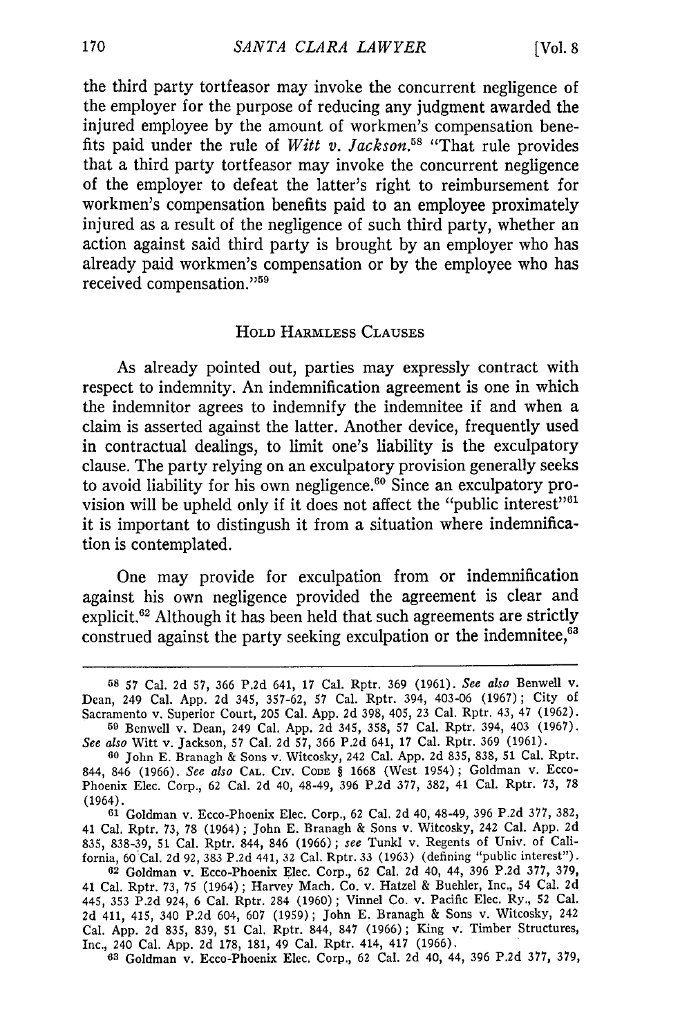the third party tortfeasor may invoke the concurrent negligence of the employer for the purpose of reducing any judgment awarded the injured employee by the amount of workmen's compensation benefits paid under the rule of *Witt v. Jackson.8* "That rule provides that a third party tortfeasor may invoke the concurrent negligence of the employer to defeat the latter's right to reimbursement for workmen's compensation benefits paid to an employee proximately injured as a result of the negligence of such third party, whether an action against said third party is brought by an employer who has already paid workmen's compensation or by the employee who has received compensation."<sup>59</sup>

#### HOLD HARMLESS **CLAUSES**

As already pointed out, parties may expressly contract with respect to indemnity. An indemnification agreement is one in which the indemnitor agrees to indemnify the indemnitee if and when a claim is asserted against the latter. Another device, frequently used in contractual dealings, to limit one's liability is the exculpatory clause. The party relying on an exculpatory provision generally seeks to avoid liability for his own negligence.<sup>60</sup> Since an exculpatory provision will be upheld only if it does not affect the "public interest"<sup>81</sup> it is important to distingush it from a situation where indemnification is contemplated.

One may provide for exculpation from or indemnification against his own negligence provided the agreement is clear and explicit.<sup>62</sup> Although it has been held that such agreements are strictly construed against the party seeking exculpation or the indemnitee,<sup>6</sup>

**61** Goldman v. Ecco-Phoenix Elec. Corp., 62 Cal. 2d 40, 48-49, 396 P.2d 377, 382, 41 Cal. Rptr. 73, 78 (1964); John E. Branagh & Sons v. Witcosky, 242 Cal. App. 2d 835, 838-39, **51** Cal. Rptr. 844, 846 (1966); *see* Tunkl v. Regents of Univ. of California, 60 Cal. 2d 92, 383 P.2d 441, 32 Cal. Rptr. 33 (1963) (defining "public interest").

**62** Goldman v. Ecco-Phoenix Elec. Corp., 62 Cal. 2d 40, 44, 396 P.2d 377, 379, 41 Cal. Rptr. 73, **75** (1964) ; Harvey Mach. Co. v. Hatzel & Buehler, Inc., 54 Cal. 2d 445, 353 P.2d 924, 6 Cal. Rptr. 284 (1960) ; Vinnel Co. v. Pacific Elec. Ry., 52 Cal. 2d 411, 415, 340 P.2d 604, 607 (1959); John E. Branagh & Sons v. Witcosky, 242 Cal. App. 2d 835, 839, 51 Cal. Rptr. 844, 847 (1966); King v. Timber Structures, Inc., 240 Cal. App. 2d 178, 181, 49 Cal. Rptr. 414, 417 (1966).

**63** Goldman v. Ecco-Phoenix Elec. Corp., 62 Cal. 2d 40, 44, 396 P.2d 377, 379,

**<sup>58</sup>** 57 Cal. 2d 57, 366 P.2d 641, 17 Cal. Rptr. 369 (1961). *See also* **Benwell** v. Dean, 249 Cal. App. 2d 345, 357-62, **57** Cal. Rptr. 394, 403-06 (1967); City of Sacramento v. Superior Court, **205** Cal. App. 2d 398, 405, 23 Cal. Rptr. 43, 47 (1962).

**<sup>59</sup>**Benwell v. Dean, 249 Cal. App. 2d 345, 358, 57 Cal. Rptr. 394, 403 (1967). *See also* Witt v. Jackson, 57 Cal. 2d 57, 366 P.2d 641, 17 Cal. Rptr. 369 (1961).

**<sup>60</sup>** John E. Branagh & Sons v. Witcosky, 242 Cal. App. 2d 835, 838, 51 Cal. Rptr. 844, 846 (1966). *See also* **CAL.** CIv. Cona § 1668 (West 1954); Goldman v. Ecco-Phoenix Elec. Corp., 62 Cal. 2d 40, 48-49, 396 P.2d 377, 382, 41 Cal. Rptr. 73, 78 (1964).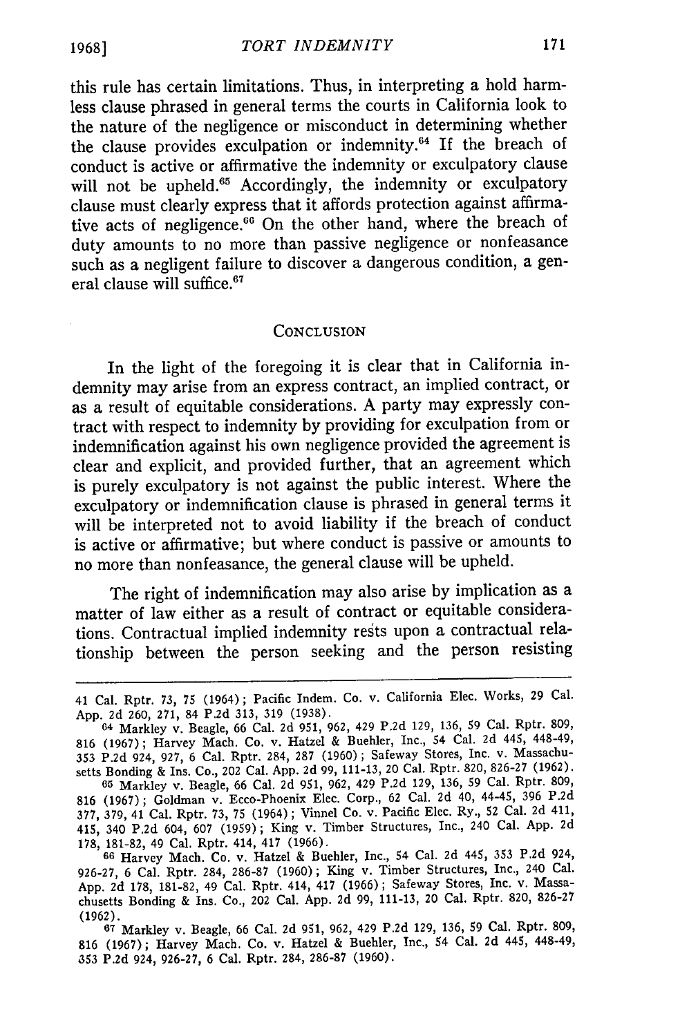this rule has certain limitations. Thus, in interpreting a hold harmless clause phrased in general terms the courts in California look to the nature of the negligence or misconduct in determining whether the clause provides exculpation or indemnity.64 If the breach of conduct is active or affirmative the indemnity or exculpatory clause will not be upheld.<sup>65</sup> Accordingly, the indemnity or exculpatory clause must clearly express that it affords protection against affirmative acts of negligence.<sup>66</sup> On the other hand, where the breach of duty amounts to no more than passive negligence or nonfeasance such as a negligent failure to discover a dangerous condition, a general clause will suffice.<sup>67</sup>

#### **CONCLUSION**

In the light of the foregoing it is clear that in California indemnity may arise from an express contract, an implied contract, or as a result of equitable considerations. A party may expressly contract with respect to indemnity by providing for exculpation from or indemnification against his own negligence provided the agreement is clear and explicit, and provided further, that an agreement which is purely exculpatory is not against the public interest. Where the exculpatory or indemnification clause is phrased in general terms it will be interpreted not to avoid liability if the breach of conduct is active or affirmative; but where conduct is passive or amounts to no more than nonfeasance, the general clause will be upheld.

The right of indemnification may also arise by implication as a matter of law either as a result of contract or equitable considerations. Contractual implied indemnity rests upon a contractual relationship between the person seeking and the person resisting

<sup>41</sup> Cal. Rptr. 73, 75 (1964); Pacific Indem. Co. v. California Elec. Works, 29 Cal. App. 2d 260, 271, 84 P.2d 313, 319 (1938).

<sup>64</sup> Markley v. Beagle, 66 Cal. 2d 951, 962, 429 P.2d 129, 136, 59 Cal. Rptr. 809, 816 (1967); Harvey Mach. Co. v. Hatzel & Buehler, Inc., 54 Cal. 2d 445, 448-49, 353 P.2d 924, 927, 6 Cal. Rptr. 284, 287 (1960); Safeway Stores, Inc. v. Massachusetts Bonding & Ins. Co., 202 Cal. App. 2d 99, 111-13, 20 Cal. Rptr. 820, 826-27 (1962).

**<sup>65</sup>**Markley v. Beagle, 66 Cal. 2d 951, 962, 429 P.2d 129, 136, 59 Cal. Rptr. 809, 816 (1967); Goldman v. Ecco-Phoenix Elec. Corp., 62 Cal. 2d 40, 44-45, 396 P.2d 377, 379, 41 Cal. Rptr. 73, 75 (1964) ; Vinnel Co. v. Pacific Elec. Ry., 52 Cal. 2d 411, 415, 340 P.2d 604, 607 (1959) ; King v. Timber Structures, Inc., 240 Cal. App. 2d 178, 181-82, 49 Cal. Rptr. 414, 417 (1966).

**<sup>66</sup>** Harvey Mach. Co. v. Hatzel & Buehler, Inc., 54 Cal. 2d 445, 353 P.2d 924, 926-27, 6 Cal. Rptr. 284, 286-87 (1960); King v. Timber Structures, Inc., 240 Cal. App. 2d 178, 181-82, 49 Cal. Rptr. 414, 417 (1966); Safeway Stores, Inc. v. Massachusetts Bonding & Ins. Co., 202 Cal. App. 2d 99, 111-13, 20 Cal. Rptr. 820, 826-27 (1962).

**<sup>67</sup>**Markley v. Beagle, 66 Cal. 2d 951, 962, 429 P.2d 129, 136, 59 Cal. Rptr. 809, 816 (1967); Harvey Mach. Co. v. Hatzel & Buehler, Inc., 54 Cal. 2d 445, 448-49, 353 P.2d 924, 926-27, 6 Cal. Rptr. 284, 286-87 (1960).